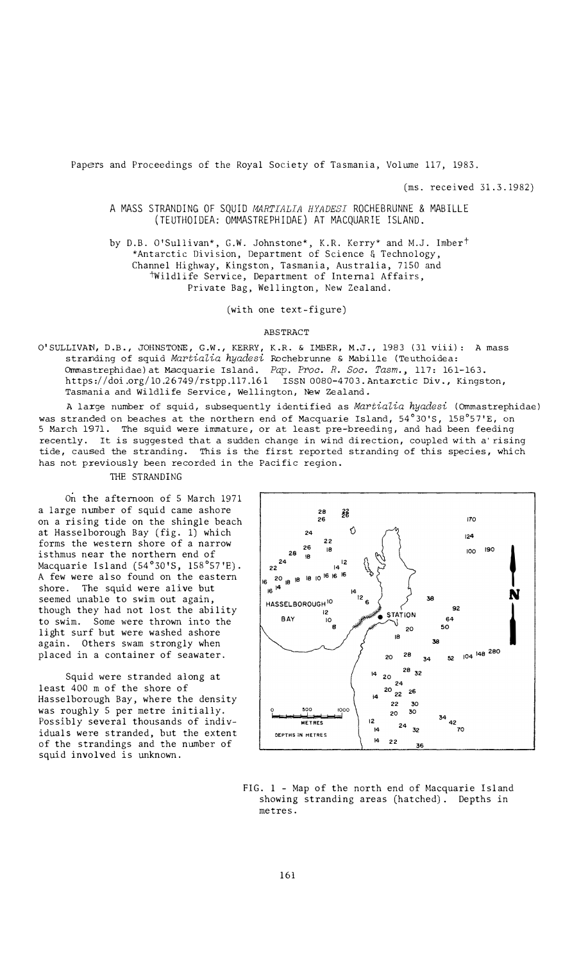Papers and Proceedings of the Royal Society of Tasmania, Volume 117, 1983.

(ms. received 31.3.1982)

A MASS STRANDING OF SQUID *MARTIALIA HYADESI* ROCHEBRUNNE & MABILLE (TEUTHOIDEA: OMMASTREPHIDAE) AT MACQUARIE ISLAND.

by D.B. O'Sullivan\*, G.W. Johnstone\*, K.R. Kerry\* and M.J. Imber<sup>†</sup> \*Antarctic Division, Department of Science & Technology, Channel Highway, Kingston, Tasmania, Australia, 7150 and twildlife Service, Department of Internal Affairs, Private Bag, Wellington, New Zealand.

(with one text-figure)

#### ABSTRACT

O'SULLIVAN, D.B., JOHNSTONE, G.W., KERRY, K.R. & IMBER, M.J., 1983 (31 viii): A mass stranding of squid *Martialia hyadesi* Rochebrunne & Mabille {Teuthoidea: Ommastrephidae) at Macquarie Island. *Pap. Proo. R. Soc. Tasm.,* 117: 161-163. https://doi.org/10.26749/rstpp.117.161 ISSN 0080-4703. Antarctic Div., Kingston, Tasmania and Wildlife Service, Wellington, New Zealand.

A large number of squid, subsequently identified as *Martialia hyadesi* {Ornrnastrephidae) was stranded on beaches at the northern end of Macquarie Island,  $54^{\circ}30^{\circ}5$ ,  $158^{\circ}57^{\circ}E$ , on 5 March 1971. The squid were immature, or at least pre-breeding, and had been feeding recently. It is suggested that a sudden change in wind direction, coupled with a rising tide, caused the stranding. This is the first reported stranding of this species, which has not previously been recorded in the Pacific region.

THE STRANDING

On the afternoon of 5 March 1971 a large number of squid came ashore on a rising tide on the shingle beach at Hasselborough Bay (fig. 1) which forms the western shore of a narrow isthmus near the northern end of Macquarie Island (54 ° 30'S, 158 ° 57'E). A few were also found on the eastern shore. The squid were alive but seemed unable to swim out again, though they had not lost the ability to swim. Some were thrown into the light surf but were washed ashore again. Others swam strongly when placed in a container of seawater.

Squid were stranded along at least 400 m of the shore of Hasselborough Bay, where the density was roughly 5 per metre initially. Possibly several thousands of individuals were stranded, but the extent of the strandings and the number of squid involved is unknown.



FIG. 1 - Map of the north end of Macquarie Island showing stranding areas (hatched). Depths in metres.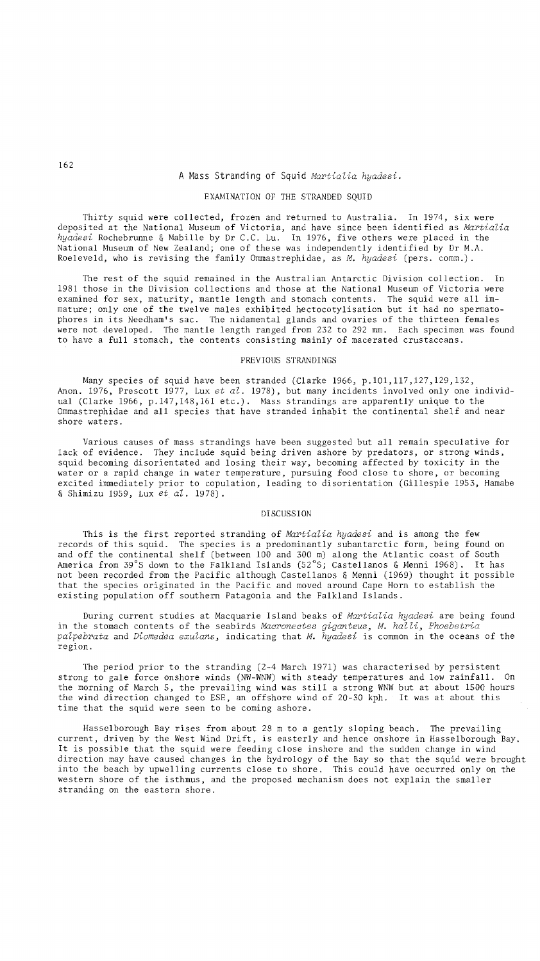# A Mass Stranding of Squid *MartiaZia hyadesi.*

# EXAMINATION OF THE STRANDED SQUID

Thirty squid were collected, frozen and returned to Australia. In 1974, six were deposited at the National Museum of Victoria, and have since been identified as *MartiaZia hyadesi* Rochebrunne & Mabille by Dr C.C. Lu. In 1976, five others were placed in the National Museum of New Zealand; one of these was 'independently identified by Dr M.A. Roeleveld, who is revising the family Ommastrephidae, as *M. hyadesi* (pers. comm.).

The rest of the squid remained in the Australian Antarctic Division collection. In 1981 those in the Division collections and those at the National Museum of Victoria were examined for sex, maturity, mantle length and stomach contents. The squid were all immature; only one of the twelve males exhibited hectocotylisation but it had no spermatophares in its Needham's sac. The nidamental glands and ovaries of the thirteen females were not developed. The mantle length ranged from 232 to 292 mm. Each specimen was found to have a full stomach, the contents consisting mainly of macerated crustaceans.

### PREVIOUS STRANDINGS

Many species of squid have been stranded (Clarke 1966, p.l01,117,127,129,132, Anon. 1976, Prescott 1977, Lux *et al.* 1978), but many incidents involved only one individual (Clarke 1966, p.147,148,161 etc.). Mass strandings are apparently unique to the Ommastrephidae and all species that have stranded inhabit the continental shelf and near shore waters.

Various causes of mass strandings have been suggested but all remain speculative for lack of evidence. They include squid being driven ashore by predators, or strong winds, squid becoming disorientated and losing their way, becoming affected by toxicity in the water or a rapid change in water temperature, pursuing food close to shore, or becoming excited immediately prior to copulation, leading to disorientation (Gillespie 1953, Hamabe & Shimizu 1959, Lux *et aZ. 1978).* 

#### DISCUSSION

This is the first reported stranding of *Martialia hyadesi* and is among the few records of this squid. The species is a predominantly subantarctic form, being found on and off the continental shelf (between 100 and 300 m) along the Atlantic coast of South America from 39°S down to the Falkland Islands (52°S; Castellanos & Menni 1968). It has not been recorded from the Pacific although Castellanos & Menni (1969) thought it possible that the species originated in the Pacific and moved around Cape Horn to establish the existing population off southern Patagonia and the Falkland Islands.

During current studies at Macquarie Island beaks of *Martialia hyadesi* are being found in the stomach contents of the seabirds *Macronectes giganteus, M. halli, Phoebe tria palpebrata* and *Diomedea exulans,* indicating that *M. hyadesi* is common in the oceans of the region.

The period prior to the stranding (2-4 March 1971) was characterised by persistent strong to gale force onshore winds (NW-WNW) with steady temperatures and low rainfall. On the morning of March 5, the prevailing wind was still a strong WNW but at about 1500 hours the wind direction changed to ESE, an offshore wind of 20-30 kph. It was at about this time that the squid were seen to be coming ashore.

Hasse1borough Bay rises from about 28 m to a gently sloping beach. The prevailing current, driven by the West Wind Drift, is easterly and hence onshore in Hasse1borough Bay. It is possible that the squid were feeding close inshore and the sudden change in wind direction may have caused changes in the hydrology of the Bay so that the squid were brought into the beach by upwelling currents close to shore. This could have occurred only on the western shore of the isthmus, and the proposed mechanism does not explain the smaller stranding on the eastern shore.